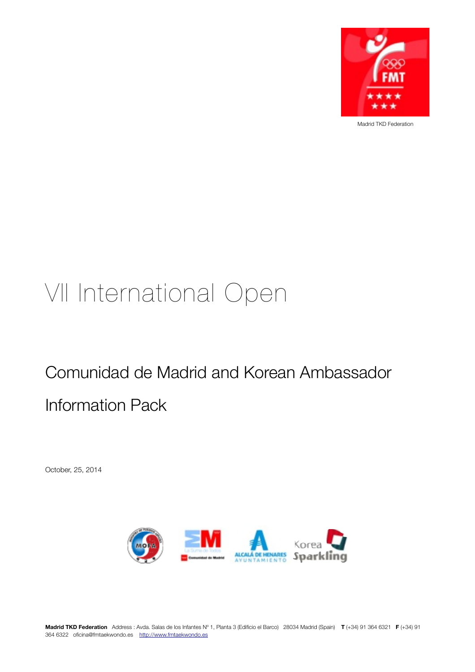

Madrid TKD Federation

# VII International Open

# Comunidad de Madrid and Korean Ambassador Information Pack

October, 25, 2014

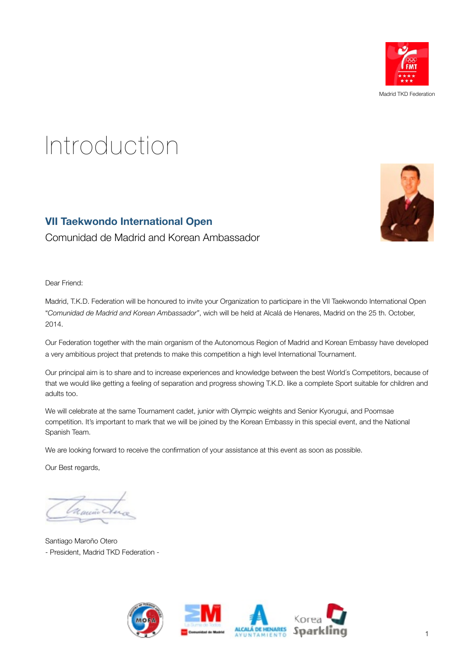

# Introduction

## **VII Taekwondo International Open**

Comunidad de Madrid and Korean Ambassador

Dear Friend:

Madrid, T.K.D. Federation will be honoured to invite your Organization to participare in the VII Taekwondo International Open "*Comunidad de Madrid and Korean Ambassador"*, wich will be held at Alcalá de Henares, Madrid on the 25 th. October, 2014.

Our Federation together with the main organism of the Autonomous Region of Madrid and Korean Embassy have developed a very ambitious project that pretends to make this competition a high level International Tournament.

Our principal aim is to share and to increase experiences and knowledge between the best World´s Competitors, because of that we would like getting a feeling of separation and progress showing T.K.D. like a complete Sport suitable for children and adults too.

We will celebrate at the same Tournament cadet, junior with Olympic weights and Senior Kyorugui, and Poomsae competition. It's important to mark that we will be joined by the Korean Embassy in this special event, and the National Spanish Team.

We are looking forward to receive the confirmation of your assistance at this event as soon as possible.

Our Best regards,

Santiago Maroño Otero - President, Madrid TKD Federation -

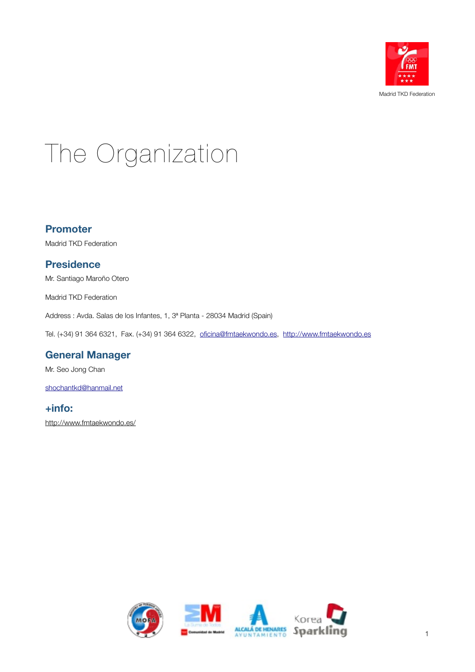

# The Organization

#### **Promoter**

Madrid TKD Federation

### **Presidence**

Mr. Santiago Maroño Otero

Madrid TKD Federation

Address : Avda. Salas de los Infantes, 1, 3ª Planta - 28034 Madrid (Spain)

Tel. (+34) 91 364 6321, Fax. (+34) 91 364 6322, [oficina@fmtaekwondo.es](mailto:oficina@fmtaekwondo.es), <http://www.fmtaekwondo.es>

## **General Manager**

Mr. Seo Jong Chan

[shochantkd@hanmail.net](mailto:shochantkd@hanmail.net)

## **+info:**

<http://www.fmtaekwondo.es/>

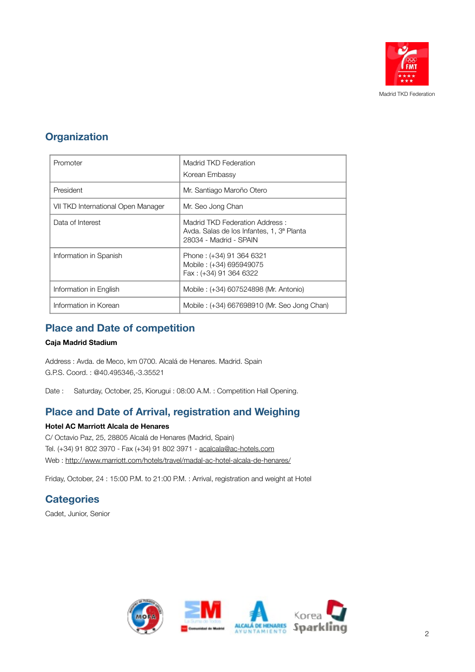

# **Organization**

| Promoter                           | Madrid TKD Federation<br>Korean Embassy                                                               |  |
|------------------------------------|-------------------------------------------------------------------------------------------------------|--|
| President                          | Mr. Santiago Maroño Otero                                                                             |  |
| VII TKD International Open Manager | Mr. Seo Jong Chan                                                                                     |  |
| Data of Interest                   | Madrid TKD Federation Address:<br>Avda. Salas de los Infantes, 1, 3ª Planta<br>28034 - Madrid - SPAIN |  |
| Information in Spanish             | Phone: (+34) 91 364 6321<br>Mobile: (+34) 695949075<br>Fax: (+34) 91 364 6322                         |  |
| Information in English             | Mobile: (+34) 607524898 (Mr. Antonio)                                                                 |  |
| Information in Korean              | Mobile: (+34) 667698910 (Mr. Seo Jong Chan)                                                           |  |

# **Place and Date of competition**

#### **Caja Madrid Stadium**

Address : Avda. de Meco, km 0700. Alcalá de Henares. Madrid. Spain G.P.S. Coord. : @40.495346,-3.35521

Date : Saturday, October, 25, Kiorugui : 08:00 A.M. : Competition Hall Opening.

# **Place and Date of Arrival, registration and Weighing**

#### **Hotel AC Marriott Alcala de Henares**

C/ Octavio Paz, 25, 28805 Alcalá de Henares (Madrid, Spain) Tel. (+34) 91 802 3970 - Fax (+34) 91 802 3971 - [acalcala@ac-hotels.com](mailto:acalcala@ac-hotels.com) Web :<http://www.marriott.com/hotels/travel/madal-ac-hotel-alcala-de-henares/>

Friday, October, 24 : 15:00 P.M. to 21:00 P.M. : Arrival, registration and weight at Hotel

# **Categories**

Cadet, Junior, Senior

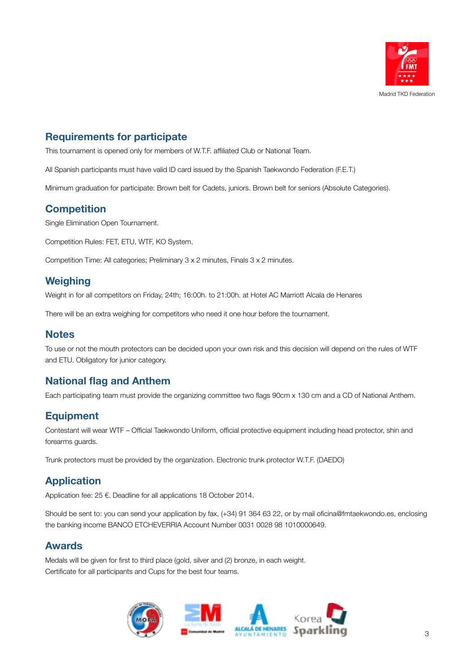

## **Requirements for participate**

This tournament is opened only for members of W.T.F. affiliated Club or National Team.

All Spanish participants must have valid ID card issued by the Spanish Taekwondo Federation (F.E.T.)

Minimum graduation for participate: Brown belt for Cadets, juniors. Brown belt for seniors (Absolute Categories).

### **Competition**

Single Elimination Open Tournament.

Competition Rules: FET, ETU, WTF, KO System.

Competition Time: All categories; Preliminary 3 x 2 minutes, Finals 3 x 2 minutes.

### **Weighing**

Weight in for all competitors on Friday, 24th; 16:00h. to 21:00h. at Hotel AC Marriott Alcala de Henares

There will be an extra weighing for competitors who need it one hour before the tournament.

#### **Notes**

To use or not the mouth protectors can be decided upon your own risk and this decision will depend on the rules of WTF and ETU. Obligatory for junior category.

### **National flag and Anthem**

Each participating team must provide the organizing committee two flags 90cm x 130 cm and a CD of National Anthem.

## **Equipment**

Contestant will wear WTF – Official Taekwondo Uniform, official protective equipment including head protector, shin and forearms guards.

Trunk protectors must be provided by the organization. Electronic trunk protector W.T.F. (DAEDO)

### **Application**

Application fee: 25 €. Deadline for all applications 18 October 2014.

Should be sent to: you can send your application by fax, (+34) 91 364 63 22, or by mail [oficina@fmtaekwondo.es](mailto:oficina@fmtaekwondo.es), enclosing the banking income BANCO ETCHEVERRIA Account Number 0031 0028 98 1010000649.

#### **Awards**

Medals will be given for first to third place (gold, silver and (2) bronze, in each weight. Certificate for all participants and Cups for the best four teams.